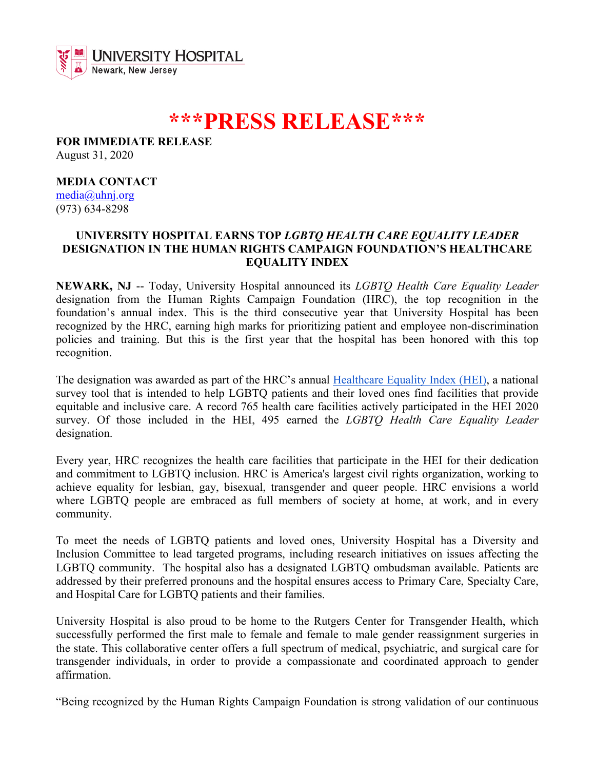

## **\*\*\*PRESS RELEASE\*\*\***

**FOR IMMEDIATE RELEASE** August 31, 2020

**MEDIA CONTACT** media@uhnj.org (973) 634-8298

## **UNIVERSITY HOSPITAL EARNS TOP** *LGBTQ HEALTH CARE EQUALITY LEADER* **DESIGNATION IN THE HUMAN RIGHTS CAMPAIGN FOUNDATION'S HEALTHCARE EQUALITY INDEX**

**NEWARK, NJ** -- Today, University Hospital announced its *LGBTQ Health Care Equality Leader* designation from the Human Rights Campaign Foundation (HRC), the top recognition in the foundation's annual index. This is the third consecutive year that University Hospital has been recognized by the HRC, earning high marks for prioritizing patient and employee non-discrimination policies and training. But this is the first year that the hospital has been honored with this top recognition.

The designation was awarded as part of the HRC's annual Healthcare Equality Index (HEI), a national survey tool that is intended to help LGBTQ patients and their loved ones find facilities that provide equitable and inclusive care. A record 765 health care facilities actively participated in the HEI 2020 survey. Of those included in the HEI, 495 earned the *LGBTQ Health Care Equality Leader* designation.

Every year, HRC recognizes the health care facilities that participate in the HEI for their dedication and commitment to LGBTQ inclusion. HRC is America's largest civil rights organization, working to achieve equality for lesbian, gay, bisexual, transgender and queer people. HRC envisions a world where LGBTQ people are embraced as full members of society at home, at work, and in every community.

To meet the needs of LGBTQ patients and loved ones, University Hospital has a Diversity and Inclusion Committee to lead targeted programs, including research initiatives on issues affecting the LGBTQ community. The hospital also has a designated LGBTQ ombudsman available. Patients are addressed by their preferred pronouns and the hospital ensures access to Primary Care, Specialty Care, and Hospital Care for LGBTQ patients and their families.

University Hospital is also proud to be home to the Rutgers Center for Transgender Health, which successfully performed the first male to female and female to male gender reassignment surgeries in the state. This collaborative center offers a full spectrum of medical, psychiatric, and surgical care for transgender individuals, in order to provide a compassionate and coordinated approach to gender affirmation.

"Being recognized by the Human Rights Campaign Foundation is strong validation of our continuous